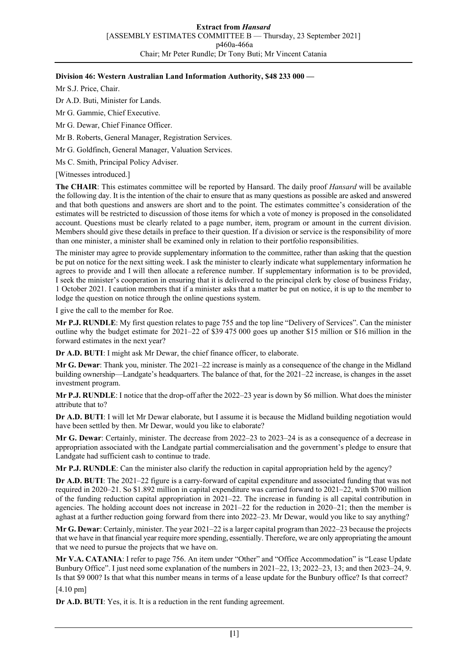## **Division 46: Western Australian Land Information Authority, \$48 233 000 —**

Mr S.J. Price, Chair.

Dr A.D. Buti, Minister for Lands.

Mr G. Gammie, Chief Executive.

Mr G. Dewar, Chief Finance Officer.

Mr B. Roberts, General Manager, Registration Services.

Mr G. Goldfinch, General Manager, Valuation Services.

Ms C. Smith, Principal Policy Adviser.

[Witnesses introduced.]

**The CHAIR**: This estimates committee will be reported by Hansard. The daily proof *Hansard* will be available the following day. It is the intention of the chair to ensure that as many questions as possible are asked and answered and that both questions and answers are short and to the point. The estimates committee's consideration of the estimates will be restricted to discussion of those items for which a vote of money is proposed in the consolidated account. Questions must be clearly related to a page number, item, program or amount in the current division. Members should give these details in preface to their question. If a division or service is the responsibility of more than one minister, a minister shall be examined only in relation to their portfolio responsibilities.

The minister may agree to provide supplementary information to the committee, rather than asking that the question be put on notice for the next sitting week. I ask the minister to clearly indicate what supplementary information he agrees to provide and I will then allocate a reference number. If supplementary information is to be provided, I seek the minister's cooperation in ensuring that it is delivered to the principal clerk by close of business Friday, 1 October 2021. I caution members that if a minister asks that a matter be put on notice, it is up to the member to lodge the question on notice through the online questions system.

I give the call to the member for Roe.

**Mr P.J. RUNDLE**: My first question relates to page 755 and the top line "Delivery of Services". Can the minister outline why the budget estimate for 2021–22 of \$39 475 000 goes up another \$15 million or \$16 million in the forward estimates in the next year?

**Dr A.D. BUTI**: I might ask Mr Dewar, the chief finance officer, to elaborate.

**Mr G. Dewar**: Thank you, minister. The 2021–22 increase is mainly as a consequence of the change in the Midland building ownership—Landgate's headquarters. The balance of that, for the 2021–22 increase, is changes in the asset investment program.

**Mr P.J. RUNDLE**: I notice that the drop-off after the 2022–23 year is down by \$6 million. What does the minister attribute that to?

**Dr A.D. BUTI**: I will let Mr Dewar elaborate, but I assume it is because the Midland building negotiation would have been settled by then. Mr Dewar, would you like to elaborate?

**Mr G. Dewar**: Certainly, minister. The decrease from 2022–23 to 2023–24 is as a consequence of a decrease in appropriation associated with the Landgate partial commercialisation and the government's pledge to ensure that Landgate had sufficient cash to continue to trade.

**Mr P.J. RUNDLE**: Can the minister also clarify the reduction in capital appropriation held by the agency?

**Dr A.D. BUTI**: The 2021–22 figure is a carry-forward of capital expenditure and associated funding that was not required in 2020–21. So \$1.892 million in capital expenditure was carried forward to 2021–22, with \$700 million of the funding reduction capital appropriation in 2021–22. The increase in funding is all capital contribution in agencies. The holding account does not increase in 2021–22 for the reduction in 2020–21; then the member is aghast at a further reduction going forward from there into 2022–23. Mr Dewar, would you like to say anything?

**Mr G. Dewar**: Certainly, minister. The year 2021–22 is a larger capital program than 2022–23 because the projects that we have in that financial year require more spending, essentially. Therefore, we are only appropriating the amount that we need to pursue the projects that we have on.

**Mr V.A. CATANIA**: I refer to page 756. An item under "Other" and "Office Accommodation" is "Lease Update Bunbury Office". I just need some explanation of the numbers in 2021–22, 13; 2022–23, 13; and then 2023–24, 9. Is that \$9 000? Is that what this number means in terms of a lease update for the Bunbury office? Is that correct?

[4.10 pm]

**Dr A.D. BUTI**: Yes, it is. It is a reduction in the rent funding agreement.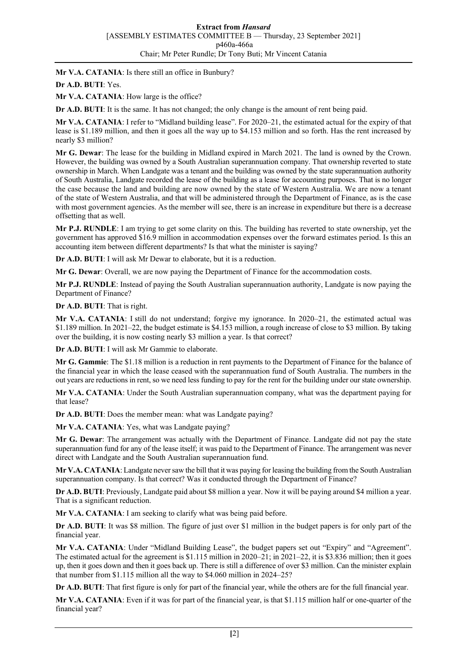**Mr V.A. CATANIA**: Is there still an office in Bunbury?

## **Dr A.D. BUTI**: Yes.

Mr V.A. CATANIA: How large is the office?

**Dr A.D. BUTI**: It is the same. It has not changed; the only change is the amount of rent being paid.

**Mr V.A. CATANIA**: I refer to "Midland building lease". For 2020–21, the estimated actual for the expiry of that lease is \$1.189 million, and then it goes all the way up to \$4.153 million and so forth. Has the rent increased by nearly \$3 million?

**Mr G. Dewar**: The lease for the building in Midland expired in March 2021. The land is owned by the Crown. However, the building was owned by a South Australian superannuation company. That ownership reverted to state ownership in March. When Landgate was a tenant and the building was owned by the state superannuation authority of South Australia, Landgate recorded the lease of the building as a lease for accounting purposes. That is no longer the case because the land and building are now owned by the state of Western Australia. We are now a tenant of the state of Western Australia, and that will be administered through the Department of Finance, as is the case with most government agencies. As the member will see, there is an increase in expenditure but there is a decrease offsetting that as well.

**Mr P.J. RUNDLE**: I am trying to get some clarity on this. The building has reverted to state ownership, yet the government has approved \$16.9 million in accommodation expenses over the forward estimates period. Is this an accounting item between different departments? Is that what the minister is saying?

**Dr A.D. BUTI**: I will ask Mr Dewar to elaborate, but it is a reduction.

**Mr G. Dewar**: Overall, we are now paying the Department of Finance for the accommodation costs.

**Mr P.J. RUNDLE**: Instead of paying the South Australian superannuation authority, Landgate is now paying the Department of Finance?

**Dr A.D. BUTI**: That is right.

**Mr V.A. CATANIA**: I still do not understand; forgive my ignorance. In 2020–21, the estimated actual was \$1.189 million. In 2021–22, the budget estimate is \$4.153 million, a rough increase of close to \$3 million. By taking over the building, it is now costing nearly \$3 million a year. Is that correct?

**Dr A.D. BUTI**: I will ask Mr Gammie to elaborate.

**Mr G. Gammie**: The \$1.18 million is a reduction in rent payments to the Department of Finance for the balance of the financial year in which the lease ceased with the superannuation fund of South Australia. The numbers in the out years are reductions in rent, so we need less funding to pay for the rent for the building under our state ownership.

**Mr V.A. CATANIA**: Under the South Australian superannuation company, what was the department paying for that lease?

**Dr A.D. BUTI**: Does the member mean: what was Landgate paying?

**Mr V.A. CATANIA**: Yes, what was Landgate paying?

**Mr G. Dewar**: The arrangement was actually with the Department of Finance. Landgate did not pay the state superannuation fund for any of the lease itself; it was paid to the Department of Finance. The arrangement was never direct with Landgate and the South Australian superannuation fund.

**Mr V.A. CATANIA**: Landgate never saw the bill that it was paying for leasing the building from the South Australian superannuation company. Is that correct? Was it conducted through the Department of Finance?

**Dr A.D. BUTI**: Previously, Landgate paid about \$8 million a year. Now it will be paying around \$4 million a year. That is a significant reduction.

**Mr V.A. CATANIA**: I am seeking to clarify what was being paid before.

**Dr A.D. BUTI**: It was \$8 million. The figure of just over \$1 million in the budget papers is for only part of the financial year.

**Mr V.A. CATANIA**: Under "Midland Building Lease", the budget papers set out "Expiry" and "Agreement". The estimated actual for the agreement is \$1.115 million in 2020–21; in 2021–22, it is \$3.836 million; then it goes up, then it goes down and then it goes back up. There is still a difference of over \$3 million. Can the minister explain that number from \$1.115 million all the way to \$4.060 million in 2024–25?

**Dr A.D. BUTI**: That first figure is only for part of the financial year, while the others are for the full financial year.

**Mr V.A. CATANIA**: Even if it was for part of the financial year, is that \$1.115 million half or one-quarter of the financial year?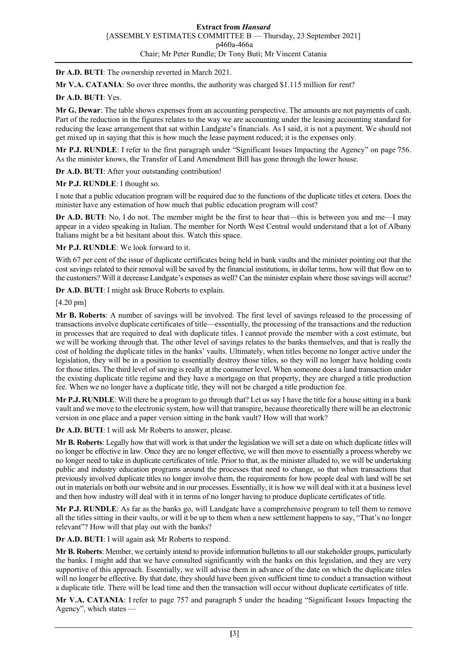**Dr A.D. BUTI**: The ownership reverted in March 2021.

**Mr V.A. CATANIA**: So over three months, the authority was charged \$1.115 million for rent?

## **Dr A.D. BUTI**: Yes.

**Mr G. Dewar**: The table shows expenses from an accounting perspective. The amounts are not payments of cash. Part of the reduction in the figures relates to the way we are accounting under the leasing accounting standard for reducing the lease arrangement that sat within Landgate's financials. As I said, it is not a payment. We should not get mixed up in saying that this is how much the lease payment reduced; it is the expenses only.

**Mr P.J. RUNDLE**: I refer to the first paragraph under "Significant Issues Impacting the Agency" on page 756. As the minister knows, the Transfer of Land Amendment Bill has gone through the lower house.

**Dr A.D. BUTI**: After your outstanding contribution!

**Mr P.J. RUNDLE**: I thought so.

I note that a public education program will be required due to the functions of the duplicate titles et cetera. Does the minister have any estimation of how much that public education program will cost?

**Dr A.D. BUTI:** No, I do not. The member might be the first to hear that—this is between you and me—I may appear in a video speaking in Italian. The member for North West Central would understand that a lot of Albany Italians might be a bit hesitant about this. Watch this space.

**Mr P.J. RUNDLE**: We look forward to it.

With 67 per cent of the issue of duplicate certificates being held in bank vaults and the minister pointing out that the cost savings related to their removal will be saved by the financial institutions, in dollar terms, how will that flow on to the customers? Will it decrease Landgate's expenses as well? Can the minister explain where those savings will accrue?

**Dr A.D. BUTI**: I might ask Bruce Roberts to explain.

[4.20 pm]

**Mr B. Roberts**: A number of savings will be involved. The first level of savings released to the processing of transactions involve duplicate certificates of title—essentially, the processing of the transactions and the reduction in processes that are required to deal with duplicate titles. I cannot provide the member with a cost estimate, but we will be working through that. The other level of savings relates to the banks themselves, and that is really the cost of holding the duplicate titles in the banks' vaults. Ultimately, when titles become no longer active under the legislation, they will be in a position to essentially destroy those titles, so they will no longer have holding costs for those titles. The third level of saving is really at the consumer level. When someone does a land transaction under the existing duplicate title regime and they have a mortgage on that property, they are charged a title production fee. When we no longer have a duplicate title, they will not be charged a title production fee.

**Mr P.J. RUNDLE**: Will there be a program to go through that? Let us say I have the title for a house sitting in a bank vault and we move to the electronic system, how will that transpire, because theoretically there will be an electronic version in one place and a paper version sitting in the bank vault? How will that work?

**Dr A.D. BUTI**: I will ask Mr Roberts to answer, please.

**Mr B. Roberts**: Legally how that will work is that under the legislation we will set a date on which duplicate titles will no longer be effective in law. Once they are no longer effective, we will then move to essentially a process whereby we no longer need to take in duplicate certificates of title. Prior to that, as the minister alluded to, we will be undertaking public and industry education programs around the processes that need to change, so that when transactions that previously involved duplicate titles no longer involve them, the requirements for how people deal with land will be set out in materials on both our website and in our processes. Essentially, it is how we will deal with it at a business level and then how industry will deal with it in terms of no longer having to produce duplicate certificates of title.

**Mr P.J. RUNDLE**: As far as the banks go, will Landgate have a comprehensive program to tell them to remove all the titles sitting in their vaults, or will it be up to them when a new settlement happens to say, "That's no longer relevant"? How will that play out with the banks?

**Dr A.D. BUTI**: I will again ask Mr Roberts to respond.

**Mr B. Roberts**: Member, we certainly intend to provide information bulletins to all our stakeholder groups, particularly the banks. I might add that we have consulted significantly with the banks on this legislation, and they are very supportive of this approach. Essentially, we will advise them in advance of the date on which the duplicate titles will no longer be effective. By that date, they should have been given sufficient time to conduct a transaction without a duplicate title. There will be lead time and then the transaction will occur without duplicate certificates of title.

**Mr V.A. CATANIA**: I refer to page 757 and paragraph 5 under the heading "Significant Issues Impacting the Agency", which states —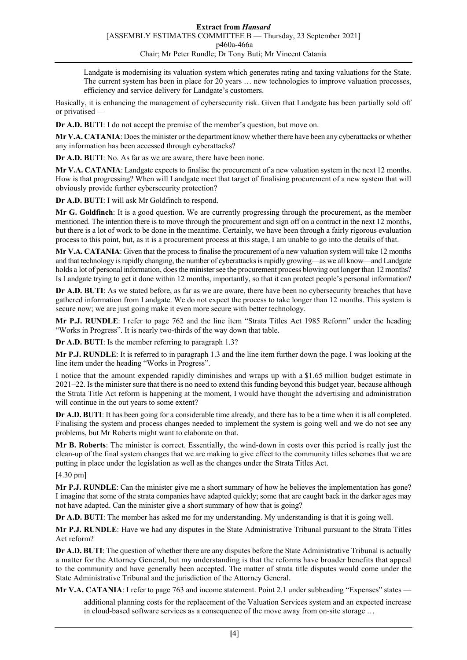Landgate is modernising its valuation system which generates rating and taxing valuations for the State. The current system has been in place for 20 years … new technologies to improve valuation processes, efficiency and service delivery for Landgate's customers.

Basically, it is enhancing the management of cybersecurity risk. Given that Landgate has been partially sold off or privatised —

**Dr A.D. BUTI**: I do not accept the premise of the member's question, but move on.

**Mr V.A. CATANIA**: Does the minister or the department know whether there have been any cyberattacks or whether any information has been accessed through cyberattacks?

**Dr A.D. BUTI**: No. As far as we are aware, there have been none.

**Mr V.A. CATANIA**: Landgate expects to finalise the procurement of a new valuation system in the next 12 months. How is that progressing? When will Landgate meet that target of finalising procurement of a new system that will obviously provide further cybersecurity protection?

**Dr A.D. BUTI**: I will ask Mr Goldfinch to respond.

**Mr G. Goldfinch**: It is a good question. We are currently progressing through the procurement, as the member mentioned. The intention there is to move through the procurement and sign off on a contract in the next 12 months, but there is a lot of work to be done in the meantime. Certainly, we have been through a fairly rigorous evaluation process to this point, but, as it is a procurement process at this stage, I am unable to go into the details of that.

**Mr V.A. CATANIA**: Given that the process to finalise the procurement of a new valuation system will take 12 months and that technology is rapidly changing, the number of cyberattacks is rapidly growing—as we all know—and Landgate holds a lot of personal information, does the minister see the procurement process blowing out longer than 12 months? Is Landgate trying to get it done within 12 months, importantly, so that it can protect people's personal information?

**Dr A.D. BUTI**: As we stated before, as far as we are aware, there have been no cybersecurity breaches that have gathered information from Landgate. We do not expect the process to take longer than 12 months. This system is secure now; we are just going make it even more secure with better technology.

**Mr P.J. RUNDLE**: I refer to page 762 and the line item "Strata Titles Act 1985 Reform" under the heading "Works in Progress". It is nearly two-thirds of the way down that table.

**Dr A.D. BUTI**: Is the member referring to paragraph 1.3?

**Mr P.J. RUNDLE**: It is referred to in paragraph 1.3 and the line item further down the page. I was looking at the line item under the heading "Works in Progress".

I notice that the amount expended rapidly diminishes and wraps up with a \$1.65 million budget estimate in 2021–22. Is the minister sure that there is no need to extend this funding beyond this budget year, because although the Strata Title Act reform is happening at the moment, I would have thought the advertising and administration will continue in the out years to some extent?

**Dr A.D. BUTI**: It has been going for a considerable time already, and there has to be a time when it is all completed. Finalising the system and process changes needed to implement the system is going well and we do not see any problems, but Mr Roberts might want to elaborate on that.

**Mr B. Roberts**: The minister is correct. Essentially, the wind-down in costs over this period is really just the clean-up of the final system changes that we are making to give effect to the community titles schemes that we are putting in place under the legislation as well as the changes under the Strata Titles Act.

[4.30 pm]

**Mr P.J. RUNDLE**: Can the minister give me a short summary of how he believes the implementation has gone? I imagine that some of the strata companies have adapted quickly; some that are caught back in the darker ages may not have adapted. Can the minister give a short summary of how that is going?

**Dr A.D. BUTI:** The member has asked me for my understanding. My understanding is that it is going well.

**Mr P.J. RUNDLE**: Have we had any disputes in the State Administrative Tribunal pursuant to the Strata Titles Act reform?

**Dr A.D. BUTI**: The question of whether there are any disputes before the State Administrative Tribunal is actually a matter for the Attorney General, but my understanding is that the reforms have broader benefits that appeal to the community and have generally been accepted. The matter of strata title disputes would come under the State Administrative Tribunal and the jurisdiction of the Attorney General.

**Mr V.A. CATANIA**: I refer to page 763 and income statement. Point 2.1 under subheading "Expenses" states —

additional planning costs for the replacement of the Valuation Services system and an expected increase in cloud-based software services as a consequence of the move away from on-site storage …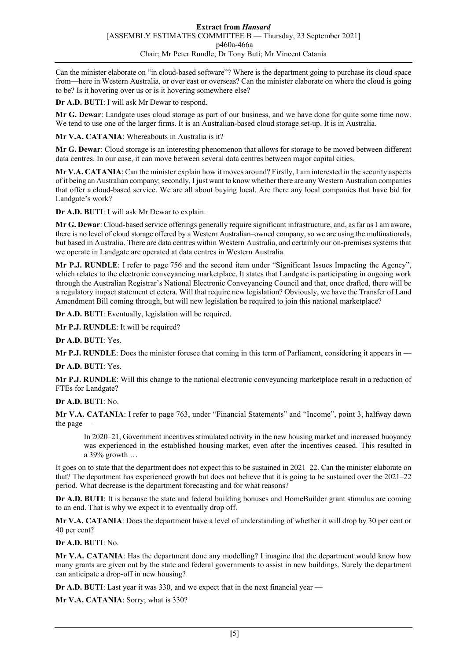Can the minister elaborate on "in cloud-based software"? Where is the department going to purchase its cloud space from—here in Western Australia, or over east or overseas? Can the minister elaborate on where the cloud is going to be? Is it hovering over us or is it hovering somewhere else?

**Dr A.D. BUTI**: I will ask Mr Dewar to respond.

**Mr G. Dewar**: Landgate uses cloud storage as part of our business, and we have done for quite some time now. We tend to use one of the larger firms. It is an Australian-based cloud storage set-up. It is in Australia.

**Mr V.A. CATANIA**: Whereabouts in Australia is it?

**Mr G. Dewar**: Cloud storage is an interesting phenomenon that allows for storage to be moved between different data centres. In our case, it can move between several data centres between major capital cities.

**Mr V.A. CATANIA**: Can the minister explain how it moves around? Firstly, I am interested in the security aspects of it being an Australian company; secondly, I just want to know whether there are any Western Australian companies that offer a cloud-based service. We are all about buying local. Are there any local companies that have bid for Landgate's work?

**Dr A.D. BUTI**: I will ask Mr Dewar to explain.

**Mr G. Dewar**: Cloud-based service offerings generally require significant infrastructure, and, as far as I am aware, there is no level of cloud storage offered by a Western Australian–owned company, so we are using the multinationals, but based in Australia. There are data centres within Western Australia, and certainly our on-premises systems that we operate in Landgate are operated at data centres in Western Australia.

**Mr P.J. RUNDLE**: I refer to page 756 and the second item under "Significant Issues Impacting the Agency", which relates to the electronic conveyancing marketplace. It states that Landgate is participating in ongoing work through the Australian Registrar's National Electronic Conveyancing Council and that, once drafted, there will be a regulatory impact statement et cetera. Will that require new legislation? Obviously, we have the Transfer of Land Amendment Bill coming through, but will new legislation be required to join this national marketplace?

**Dr A.D. BUTI**: Eventually, legislation will be required.

**Mr P.J. RUNDLE**: It will be required?

**Dr A.D. BUTI**: Yes.

**Mr P.J. RUNDLE**: Does the minister foresee that coming in this term of Parliament, considering it appears in —

**Dr A.D. BUTI**: Yes.

**Mr P.J. RUNDLE**: Will this change to the national electronic conveyancing marketplace result in a reduction of FTEs for Landgate?

## **Dr A.D. BUTI**: No.

**Mr V.A. CATANIA**: I refer to page 763, under "Financial Statements" and "Income", point 3, halfway down the page —

In 2020–21, Government incentives stimulated activity in the new housing market and increased buoyancy was experienced in the established housing market, even after the incentives ceased. This resulted in a 39% growth …

It goes on to state that the department does not expect this to be sustained in 2021–22. Can the minister elaborate on that? The department has experienced growth but does not believe that it is going to be sustained over the 2021–22 period. What decrease is the department forecasting and for what reasons?

**Dr A.D. BUTI**: It is because the state and federal building bonuses and HomeBuilder grant stimulus are coming to an end. That is why we expect it to eventually drop off.

**Mr V.A. CATANIA**: Does the department have a level of understanding of whether it will drop by 30 per cent or 40 per cent?

**Dr A.D. BUTI**: No.

**Mr V.A. CATANIA**: Has the department done any modelling? I imagine that the department would know how many grants are given out by the state and federal governments to assist in new buildings. Surely the department can anticipate a drop-off in new housing?

**Dr A.D. BUTI**: Last year it was 330, and we expect that in the next financial year —

**Mr V.A. CATANIA**: Sorry; what is 330?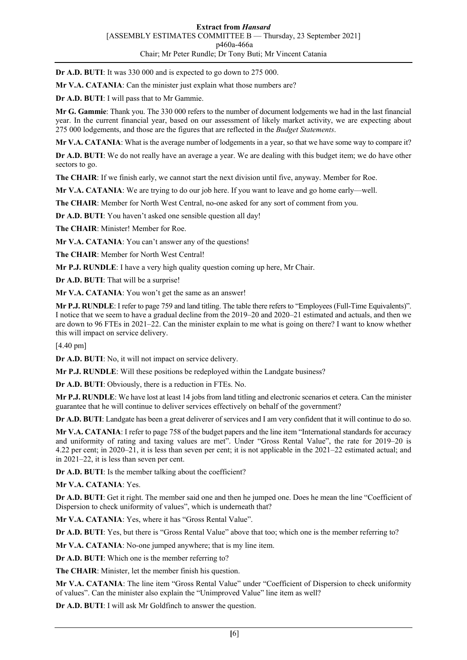**Dr A.D. BUTI**: It was 330 000 and is expected to go down to 275 000.

**Mr V.A. CATANIA**: Can the minister just explain what those numbers are?

**Dr A.D. BUTI**: I will pass that to Mr Gammie.

**Mr G. Gammie**: Thank you. The 330 000 refers to the number of document lodgements we had in the last financial year. In the current financial year, based on our assessment of likely market activity, we are expecting about 275 000 lodgements, and those are the figures that are reflected in the *Budget Statements*.

**Mr V.A. CATANIA**: What is the average number of lodgements in a year, so that we have some way to compare it?

**Dr A.D. BUTI**: We do not really have an average a year. We are dealing with this budget item; we do have other sectors to go.

**The CHAIR**: If we finish early, we cannot start the next division until five, anyway. Member for Roe.

**Mr V.A. CATANIA**: We are trying to do our job here. If you want to leave and go home early—well.

**The CHAIR**: Member for North West Central, no-one asked for any sort of comment from you.

**Dr A.D. BUTI**: You haven't asked one sensible question all day!

**The CHAIR**: Minister! Member for Roe.

**Mr V.A. CATANIA**: You can't answer any of the questions!

**The CHAIR**: Member for North West Central!

**Mr P.J. RUNDLE**: I have a very high quality question coming up here, Mr Chair.

**Dr A.D. BUTI**: That will be a surprise!

**Mr V.A. CATANIA**: You won't get the same as an answer!

**Mr P.J. RUNDLE**: I refer to page 759 and land titling. The table there refers to "Employees (Full-Time Equivalents)". I notice that we seem to have a gradual decline from the 2019–20 and 2020–21 estimated and actuals, and then we are down to 96 FTEs in 2021–22. Can the minister explain to me what is going on there? I want to know whether this will impact on service delivery.

[4.40 pm]

**Dr A.D. BUTI**: No, it will not impact on service delivery.

**Mr P.J. RUNDLE**: Will these positions be redeployed within the Landgate business?

**Dr A.D. BUTI**: Obviously, there is a reduction in FTEs. No.

**Mr P.J. RUNDLE**: We have lost at least 14 jobs from land titling and electronic scenarios et cetera. Can the minister guarantee that he will continue to deliver services effectively on behalf of the government?

**Dr A.D. BUTI**: Landgate has been a great deliverer of services and I am very confident that it will continue to do so.

**Mr V.A. CATANIA**: I refer to page 758 of the budget papers and the line item "International standards for accuracy and uniformity of rating and taxing values are met". Under "Gross Rental Value", the rate for 2019–20 is 4.22 per cent; in 2020–21, it is less than seven per cent; it is not applicable in the 2021–22 estimated actual; and in 2021–22, it is less than seven per cent.

**Dr A.D. BUTI**: Is the member talking about the coefficient?

**Mr V.A. CATANIA**: Yes.

**Dr A.D. BUTI**: Get it right. The member said one and then he jumped one. Does he mean the line "Coefficient of Dispersion to check uniformity of values", which is underneath that?

**Mr V.A. CATANIA**: Yes, where it has "Gross Rental Value".

**Dr A.D. BUTI**: Yes, but there is "Gross Rental Value" above that too; which one is the member referring to?

**Mr V.A. CATANIA**: No-one jumped anywhere; that is my line item.

**Dr A.D. BUTI**: Which one is the member referring to?

**The CHAIR**: Minister, let the member finish his question.

**Mr V.A. CATANIA**: The line item "Gross Rental Value" under "Coefficient of Dispersion to check uniformity of values". Can the minister also explain the "Unimproved Value" line item as well?

**Dr A.D. BUTI**: I will ask Mr Goldfinch to answer the question.